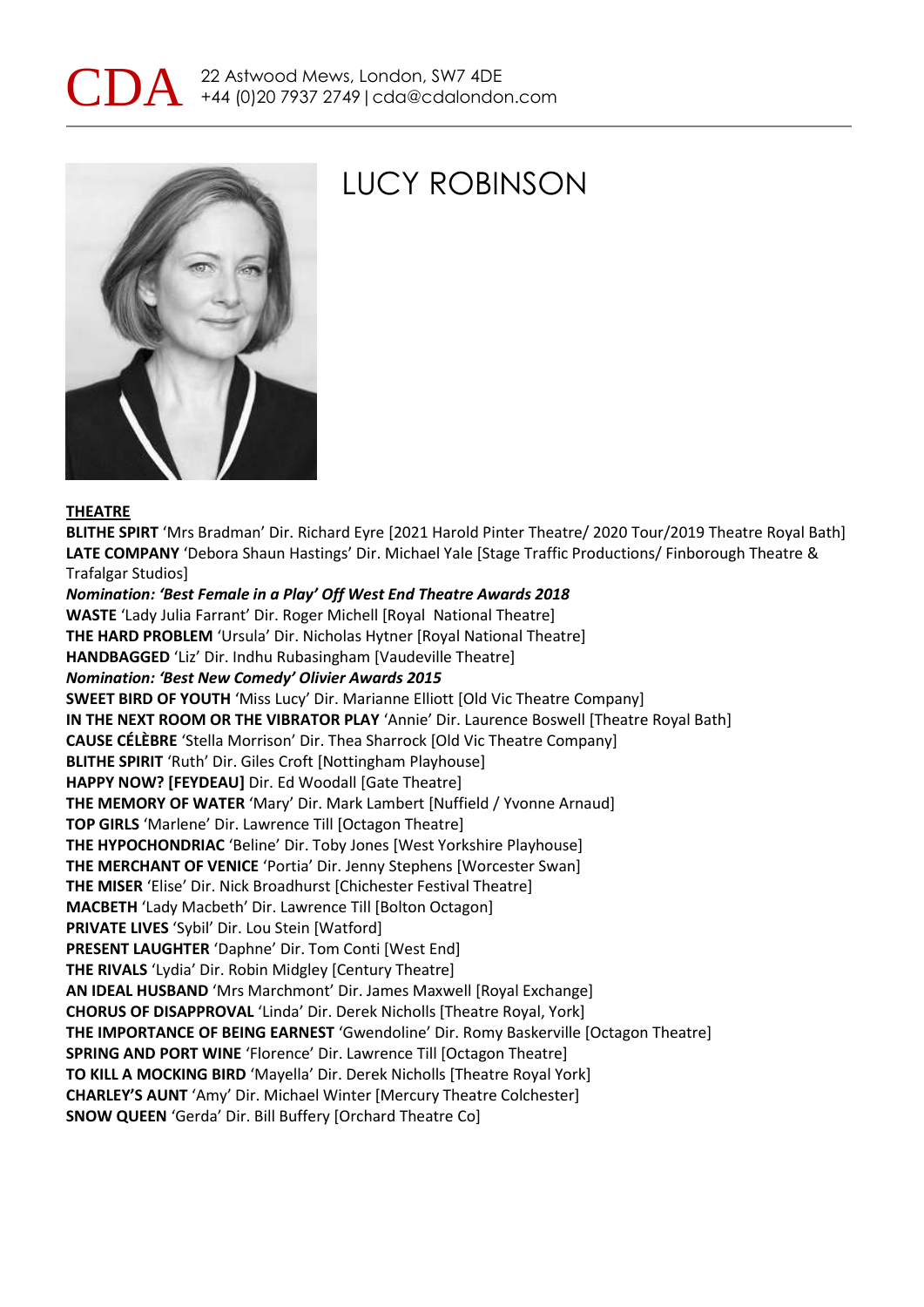



### LUCY ROBINSON

#### **THEATRE**

**BLITHE SPIRT** 'Mrs Bradman' Dir. Richard Eyre [2021 Harold Pinter Theatre/ 2020 Tour/2019 Theatre Royal Bath] **LATE COMPANY** 'Debora Shaun Hastings' Dir. Michael Yale [Stage Traffic Productions/ Finborough Theatre & Trafalgar Studios] *Nomination: 'Best Female in a Play' Off West End Theatre Awards 2018* **WASTE** 'Lady Julia Farrant' Dir. Roger Michell [Royal National Theatre] **THE HARD PROBLEM** 'Ursula' Dir. Nicholas Hytner [Royal National Theatre] **HANDBAGGED** 'Liz' Dir. Indhu Rubasingham [Vaudeville Theatre] *Nomination: 'Best New Comedy' Olivier Awards 2015* **SWEET BIRD OF YOUTH** 'Miss Lucy' Dir. Marianne Elliott [Old Vic Theatre Company] **IN THE NEXT ROOM OR THE VIBRATOR PLAY** 'Annie' Dir. Laurence Boswell [Theatre Royal Bath] **CAUSE CÉLÈBRE** 'Stella Morrison' Dir. Thea Sharrock [Old Vic Theatre Company] **BLITHE SPIRIT** 'Ruth' Dir. Giles Croft [Nottingham Playhouse] **HAPPY NOW? [FEYDEAU]** Dir. Ed Woodall [Gate Theatre] **THE MEMORY OF WATER** 'Mary' Dir. Mark Lambert [Nuffield / Yvonne Arnaud] **TOP GIRLS** 'Marlene' Dir. Lawrence Till [Octagon Theatre] **THE HYPOCHONDRIAC** 'Beline' Dir. Toby Jones [West Yorkshire Playhouse] **THE MERCHANT OF VENICE** 'Portia' Dir. Jenny Stephens [Worcester Swan] **THE MISER** 'Elise' Dir. Nick Broadhurst [Chichester Festival Theatre] **MACBETH** 'Lady Macbeth' Dir. Lawrence Till [Bolton Octagon] **PRIVATE LIVES** 'Sybil' Dir. Lou Stein [Watford] **PRESENT LAUGHTER** 'Daphne' Dir. Tom Conti [West End] **THE RIVALS** 'Lydia' Dir. Robin Midgley [Century Theatre] **AN IDEAL HUSBAND** 'Mrs Marchmont' Dir. James Maxwell [Royal Exchange] **CHORUS OF DISAPPROVAL** 'Linda' Dir. Derek Nicholls [Theatre Royal, York] **THE IMPORTANCE OF BEING EARNEST** 'Gwendoline' Dir. Romy Baskerville [Octagon Theatre] **SPRING AND PORT WINE** 'Florence' Dir. Lawrence Till [Octagon Theatre] **TO KILL A MOCKING BIRD** 'Mayella' Dir. Derek Nicholls [Theatre Royal York] **CHARLEY'S AUNT** 'Amy' Dir. Michael Winter [Mercury Theatre Colchester] **SNOW QUEEN** 'Gerda' Dir. Bill Buffery [Orchard Theatre Co]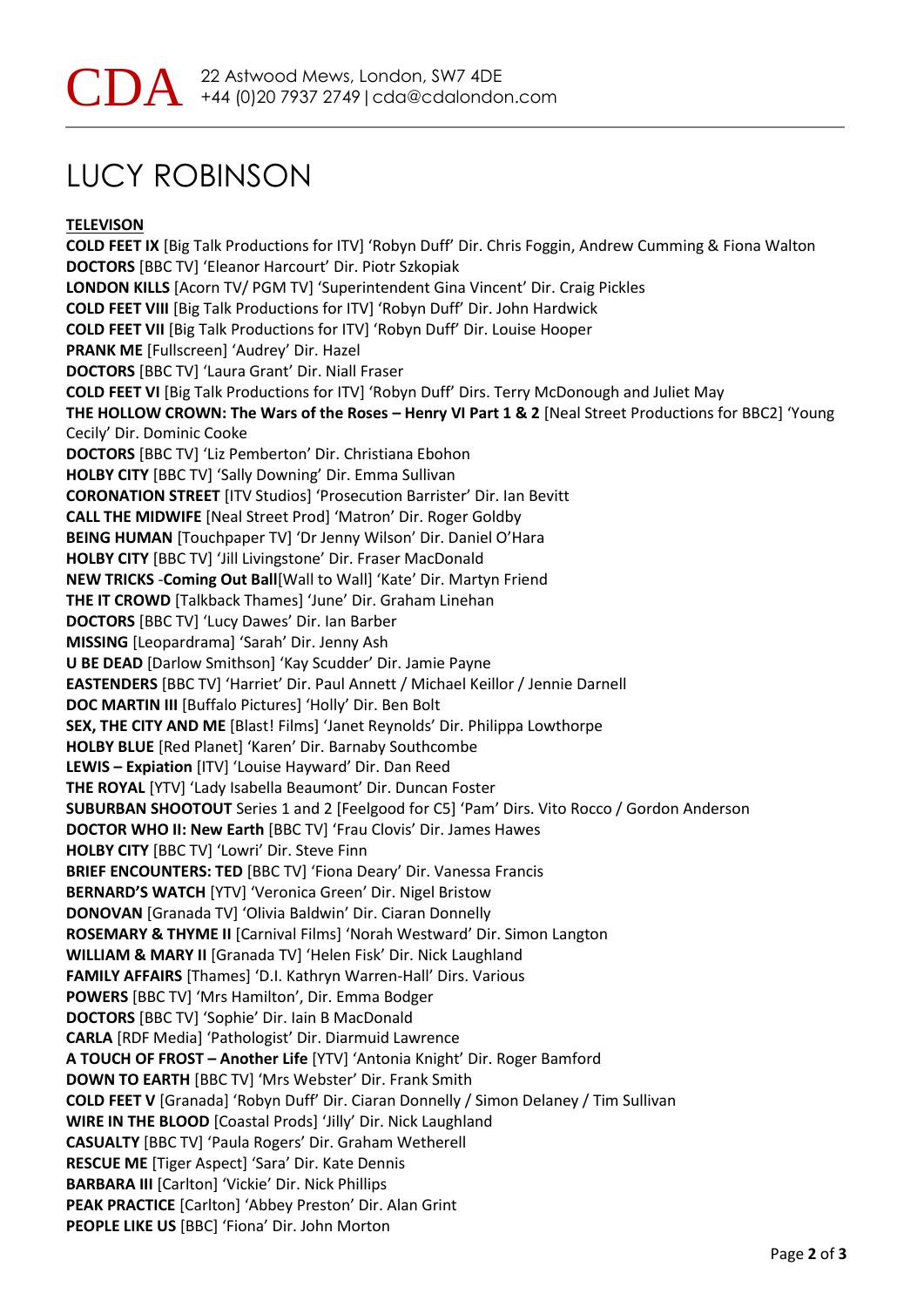# LUCY ROBINSON

### **TELEVISON**

**COLD FEET IX** [Big Talk Productions for ITV] 'Robyn Duff' Dir. Chris Foggin, Andrew Cumming & Fiona Walton **DOCTORS** [BBC TV] 'Eleanor Harcourt' Dir. Piotr Szkopiak **LONDON KILLS** [Acorn TV/ PGM TV] 'Superintendent Gina Vincent' Dir. Craig Pickles **COLD FEET VIII** [Big Talk Productions for ITV] 'Robyn Duff' Dir. John Hardwick **COLD FEET VII** [Big Talk Productions for ITV] 'Robyn Duff' Dir. Louise Hooper **PRANK ME** [Fullscreen] 'Audrey' Dir. Hazel **DOCTORS** [BBC TV] 'Laura Grant' Dir. Niall Fraser **COLD FEET VI** [Big Talk Productions for ITV] 'Robyn Duff' Dirs. Terry McDonough and Juliet May **THE HOLLOW CROWN: The Wars of the Roses – Henry VI Part 1 & 2** [Neal Street Productions for BBC2] 'Young Cecily' Dir. Dominic Cooke **DOCTORS** [BBC TV] 'Liz Pemberton' Dir. Christiana Ebohon **HOLBY CITY** [BBC TV] 'Sally Downing' Dir. Emma Sullivan **CORONATION STREET** [ITV Studios] 'Prosecution Barrister' Dir. Ian Bevitt **CALL THE MIDWIFE** [Neal Street Prod] 'Matron' Dir. Roger Goldby **BEING HUMAN** [Touchpaper TV] 'Dr Jenny Wilson' Dir. Daniel O'Hara **HOLBY CITY** [BBC TV] 'Jill Livingstone' Dir. Fraser MacDonald **NEW TRICKS** -**Coming Out Ball**[Wall to Wall] 'Kate' Dir. Martyn Friend **THE IT CROWD** [Talkback Thames] 'June' Dir. Graham Linehan **DOCTORS** [BBC TV] 'Lucy Dawes' Dir. Ian Barber **MISSING** [Leopardrama] 'Sarah' Dir. Jenny Ash **U BE DEAD** [Darlow Smithson] 'Kay Scudder' Dir. Jamie Payne **EASTENDERS** [BBC TV] 'Harriet' Dir. Paul Annett / Michael Keillor / Jennie Darnell **DOC MARTIN III** [Buffalo Pictures] 'Holly' Dir. Ben Bolt **SEX, THE CITY AND ME** [Blast! Films] 'Janet Reynolds' Dir. Philippa Lowthorpe **HOLBY BLUE** [Red Planet] 'Karen' Dir. Barnaby Southcombe **LEWIS – Expiation** [ITV] 'Louise Hayward' Dir. Dan Reed **THE ROYAL** [YTV] 'Lady Isabella Beaumont' Dir. Duncan Foster **SUBURBAN SHOOTOUT** Series 1 and 2 [Feelgood for C5] 'Pam' Dirs. Vito Rocco / Gordon Anderson **DOCTOR WHO II: New Earth** [BBC TV] 'Frau Clovis' Dir. James Hawes **HOLBY CITY** [BBC TV] 'Lowri' Dir. Steve Finn **BRIEF ENCOUNTERS: TED** [BBC TV] 'Fiona Deary' Dir. Vanessa Francis **BERNARD'S WATCH** [YTV] 'Veronica Green' Dir. Nigel Bristow **DONOVAN** [Granada TV] 'Olivia Baldwin' Dir. Ciaran Donnelly **ROSEMARY & THYME II** [Carnival Films] 'Norah Westward' Dir. Simon Langton **WILLIAM & MARY II** [Granada TV] 'Helen Fisk' Dir. Nick Laughland **FAMILY AFFAIRS** [Thames] 'D.I. Kathryn Warren-Hall' Dirs. Various **POWERS** [BBC TV] 'Mrs Hamilton', Dir. Emma Bodger **DOCTORS** [BBC TV] 'Sophie' Dir. Iain B MacDonald **CARLA** [RDF Media] 'Pathologist' Dir. Diarmuid Lawrence **A TOUCH OF FROST – Another Life** [YTV] 'Antonia Knight' Dir. Roger Bamford **DOWN TO EARTH** [BBC TV] 'Mrs Webster' Dir. Frank Smith **COLD FEET V** [Granada] 'Robyn Duff' Dir. Ciaran Donnelly / Simon Delaney / Tim Sullivan **WIRE IN THE BLOOD** [Coastal Prods] 'Jilly' Dir. Nick Laughland **CASUALTY** [BBC TV] 'Paula Rogers' Dir. Graham Wetherell **RESCUE ME** [Tiger Aspect] 'Sara' Dir. Kate Dennis **BARBARA III** [Carlton] 'Vickie' Dir. Nick Phillips **PEAK PRACTICE** [Carlton] 'Abbey Preston' Dir. Alan Grint **PEOPLE LIKE US** [BBC] 'Fiona' Dir. John Morton